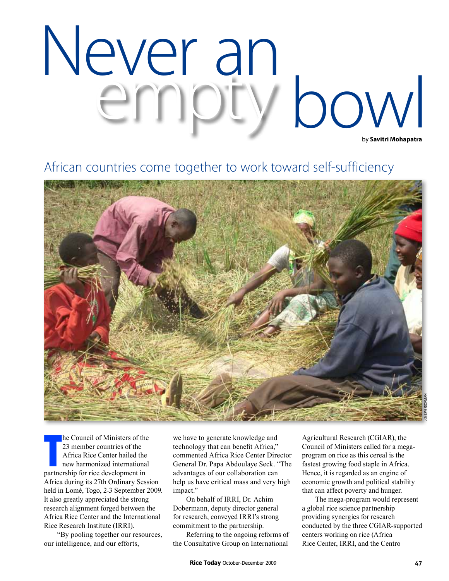## by **Savitri Mohapatra** Never an<br>empty bowl

## African countries come together to work toward self-sufficiency



he Council of Ministers of the<br>
23 member countries of the<br>
Africa Rice Center hailed the<br>
new harmonized internationa<br>
partnership for rice development in he Council of Ministers of the 23 member countries of the Africa Rice Center hailed the new harmonized international Africa during its 27th Ordinary Session held in Lomé, Togo, 2-3 September 2009. It also greatly appreciated the strong research alignment forged between the Africa Rice Center and the International Rice Research Institute (IRRI).

"By pooling together our resources, our intelligence, and our efforts,

we have to generate knowledge and technology that can benefit Africa," commented Africa Rice Center Director General Dr. Papa Abdoulaye Seck. "The advantages of our collaboration can help us have critical mass and very high impact."

On behalf of IRRI, Dr. Achim Dobermann, deputy director general for research, conveyed IRRI's strong commitment to the partnership.

Referring to the ongoing reforms of the Consultative Group on International

Agricultural Research (CGIAR), the Council of Ministers called for a megaprogram on rice as this cereal is the fastest growing food staple in Africa. Hence, it is regarded as an engine of economic growth and political stability that can affect poverty and hunger.

The mega-program would represent a global rice science partnership providing synergies for research conducted by the three CGIAR-supported centers working on rice (Africa Rice Center, IRRI, and the Centro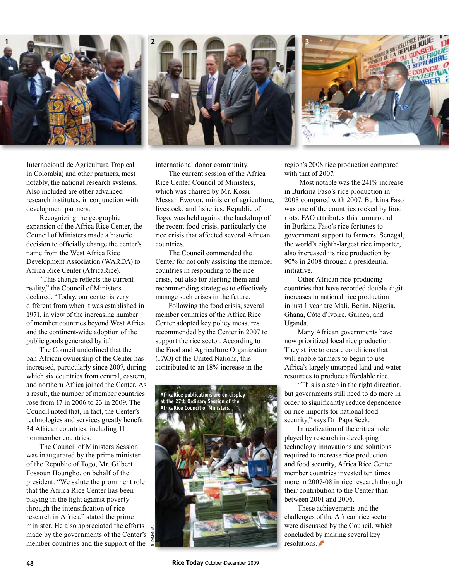

Internacional de Agricultura Tropical in Colombia) and other partners, most notably, the national research systems. Also included are other advanced research institutes, in conjunction with development partners.

Recognizing the geographic expansion of the Africa Rice Center, the Council of Ministers made a historic decision to officially change the center's name from the West Africa Rice Development Association (WARDA) to Africa Rice Center (AfricaRice).

"This change reflects the current reality," the Council of Ministers declared. "Today, our center is very different from when it was established in 1971, in view of the increasing number of member countries beyond West Africa and the continent-wide adoption of the public goods generated by it."

The Council underlined that the pan-African ownership of the Center has increased, particularly since 2007, during which six countries from central, eastern, and northern Africa joined the Center. As a result, the number of member countries rose from 17 in 2006 to 23 in 2009. The Council noted that, in fact, the Center's technologies and services greatly benefit 34 African countries, including 11 nonmember countries.

The Council of Ministers Session was inaugurated by the prime minister of the Republic of Togo, Mr. Gilbert Fossoun Houngbo, on behalf of the president. "We salute the prominent role that the Africa Rice Center has been playing in the fight against poverty through the intensification of rice research in Africa," stated the prime minister. He also appreciated the efforts made by the governments of the Center's member countries and the support of the



international donor community.

The current session of the Africa Rice Center Council of Ministers, which was chaired by Mr. Kossi Messan Ewovor, minister of agriculture, livestock, and fisheries, Republic of Togo, was held against the backdrop of the recent food crisis, particularly the rice crisis that affected several African countries.

The Council commended the Center for not only assisting the member countries in responding to the rice crisis, but also for alerting them and recommending strategies to effectively manage such crises in the future.

Following the food crisis, several member countries of the Africa Rice Center adopted key policy measures recommended by the Center in 2007 to support the rice sector. According to the Food and Agriculture Organization (FAO) of the United Nations, this contributed to an 18% increase in the



region's 2008 rice production compared with that of 2007.

 Most notable was the 241% increase in Burkina Faso's rice production in 2008 compared with 2007. Burkina Faso was one of the countries rocked by food riots. FAO attributes this turnaround in Burkina Faso's rice fortunes to government support to farmers. Senegal, the world's eighth-largest rice importer, also increased its rice production by 90% in 2008 through a presidential initiative.

Other African rice-producing countries that have recorded double-digit increases in national rice production in just 1 year are Mali, Benin, Nigeria, Ghana, Côte d'Ivoire, Guinea, and Uganda.

Many African governments have now prioritized local rice production. They strive to create conditions that will enable farmers to begin to use Africa's largely untapped land and water resources to produce affordable rice.

"This is a step in the right direction, but governments still need to do more in order to significantly reduce dependence on rice imports for national food security," says Dr. Papa Seck.

In realization of the critical role played by research in developing technology innovations and solutions required to increase rice production and food security, Africa Rice Center member countries invested ten times more in 2007-08 in rice research through their contribution to the Center than between 2001 and 2006.

These achievements and the challenges of the African rice sector were discussed by the Council, which concluded by making several key resolutions.